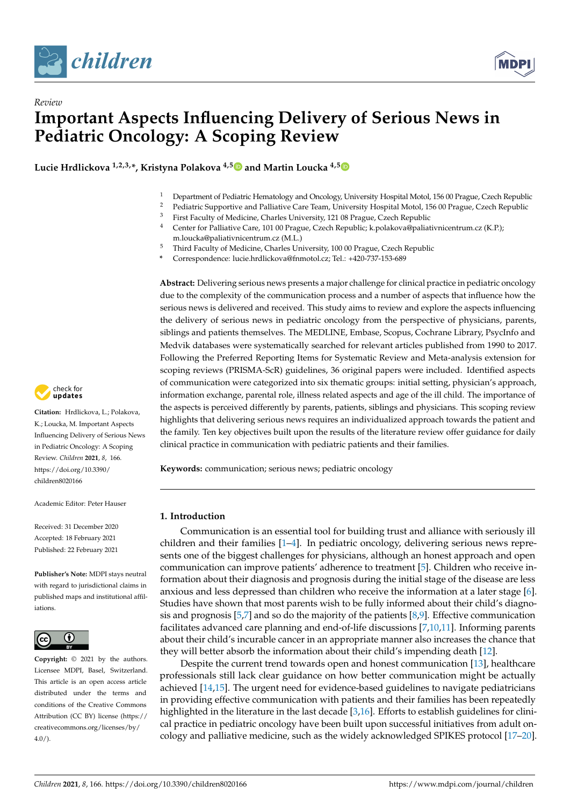

*Review*



# **Important Aspects Influencing Delivery of Serious News in Pediatric Oncology: A Scoping Review**

**Lucie Hrdlickova 1,2,3,\*, Kristyna Polakova 4,[5](https://orcid.org/0000-0002-1942-5733) and Martin Loucka 4,[5](https://orcid.org/0000-0002-9875-7997)**

- <sup>1</sup> Department of Pediatric Hematology and Oncology, University Hospital Motol, 156 00 Prague, Czech Republic<br><sup>2</sup> Pediatric Supportive and Palliative Care Team, University Hospital Motol, 156 00 Prague, Czech Republic,
- <sup>2</sup> Pediatric Supportive and Palliative Care Team, University Hospital Motol, 156 00 Prague, Czech Republic<br><sup>3</sup> First Faculty of Modisine, Charles University 121.08 Prague, Czech Republic
- <sup>3</sup> First Faculty of Medicine, Charles University, 121 08 Prague, Czech Republic<br><sup>4</sup> Conter for Palliative Caro, 101.00 Prague, Czech Republic: k polakova@paliat
- <sup>4</sup> Center for Palliative Care, 101 00 Prague, Czech Republic; k.polakova@paliativnicentrum.cz (K.P.); m.loucka@paliativnicentrum.cz (M.L.)
- <sup>5</sup> Third Faculty of Medicine, Charles University, 100 00 Prague, Czech Republic
- **\*** Correspondence: lucie.hrdlickova@fnmotol.cz; Tel.: +420-737-153-689

**Abstract:** Delivering serious news presents a major challenge for clinical practice in pediatric oncology due to the complexity of the communication process and a number of aspects that influence how the serious news is delivered and received. This study aims to review and explore the aspects influencing the delivery of serious news in pediatric oncology from the perspective of physicians, parents, siblings and patients themselves. The MEDLINE, Embase, Scopus, Cochrane Library, PsycInfo and Medvik databases were systematically searched for relevant articles published from 1990 to 2017. Following the Preferred Reporting Items for Systematic Review and Meta-analysis extension for scoping reviews (PRISMA-ScR) guidelines, 36 original papers were included. Identified aspects of communication were categorized into six thematic groups: initial setting, physician's approach, information exchange, parental role, illness related aspects and age of the ill child. The importance of the aspects is perceived differently by parents, patients, siblings and physicians. This scoping review highlights that delivering serious news requires an individualized approach towards the patient and the family. Ten key objectives built upon the results of the literature review offer guidance for daily clinical practice in communication with pediatric patients and their families.

**Keywords:** communication; serious news; pediatric oncology

#### **1. Introduction**

Communication is an essential tool for building trust and alliance with seriously ill children and their families  $[1-4]$  $[1-4]$ . In pediatric oncology, delivering serious news represents one of the biggest challenges for physicians, although an honest approach and open communication can improve patients' adherence to treatment [\[5\]](#page-13-2). Children who receive information about their diagnosis and prognosis during the initial stage of the disease are less anxious and less depressed than children who receive the information at a later stage [\[6\]](#page-13-3). Studies have shown that most parents wish to be fully informed about their child's diagnosis and prognosis [\[5](#page-13-2)[,7\]](#page-14-0) and so do the majority of the patients [\[8,](#page-14-1)[9\]](#page-14-2). Effective communication facilitates advanced care planning and end-of-life discussions [\[7,](#page-14-0)[10,](#page-14-3)[11\]](#page-14-4). Informing parents about their child's incurable cancer in an appropriate manner also increases the chance that they will better absorb the information about their child's impending death [\[12\]](#page-14-5).

Despite the current trend towards open and honest communication [\[13\]](#page-14-6), healthcare professionals still lack clear guidance on how better communication might be actually achieved [\[14,](#page-14-7)[15\]](#page-14-8). The urgent need for evidence-based guidelines to navigate pediatricians in providing effective communication with patients and their families has been repeatedly highlighted in the literature in the last decade [\[3](#page-13-4)[,16\]](#page-14-9). Efforts to establish guidelines for clinical practice in pediatric oncology have been built upon successful initiatives from adult oncology and palliative medicine, such as the widely acknowledged SPIKES protocol [\[17](#page-14-10)[–20\]](#page-14-11).



**Citation:** Hrdlickova, L.; Polakova, K.; Loucka, M. Important Aspects Influencing Delivery of Serious News in Pediatric Oncology: A Scoping Review. *Children* **2021**, *8*, 166. [https://doi.org/10.3390/](https://doi.org/10.3390/children8020166) [children8020166](https://doi.org/10.3390/children8020166)

Academic Editor: Peter Hauser

Received: 31 December 2020 Accepted: 18 February 2021 Published: 22 February 2021

**Publisher's Note:** MDPI stays neutral with regard to jurisdictional claims in published maps and institutional affiliations.



**Copyright:** © 2021 by the authors. Licensee MDPI, Basel, Switzerland. This article is an open access article distributed under the terms and conditions of the Creative Commons Attribution (CC BY) license (https:/[/](https://creativecommons.org/licenses/by/4.0/) [creativecommons.org/licenses/by/](https://creativecommons.org/licenses/by/4.0/)  $4.0/$ ).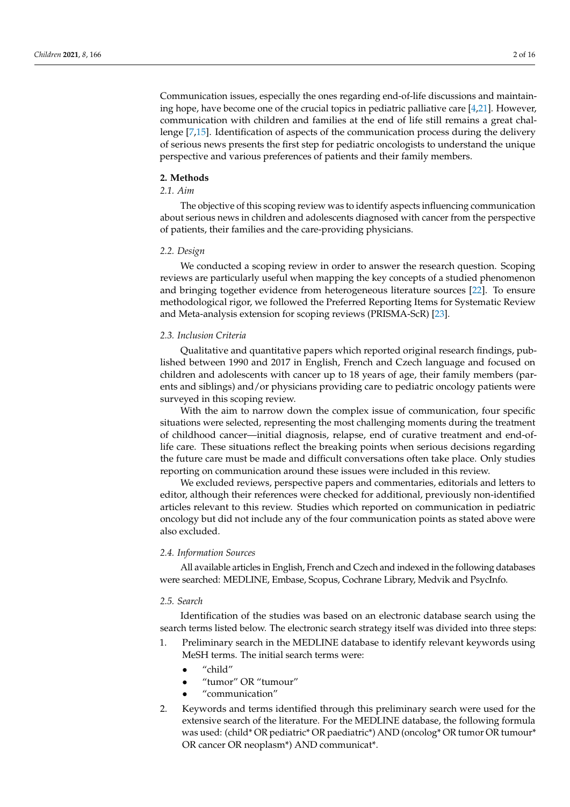Communication issues, especially the ones regarding end-of-life discussions and maintaining hope, have become one of the crucial topics in pediatric palliative care [\[4,](#page-13-1)[21\]](#page-14-12). However, communication with children and families at the end of life still remains a great challenge [\[7,](#page-14-0)[15\]](#page-14-8). Identification of aspects of the communication process during the delivery of serious news presents the first step for pediatric oncologists to understand the unique perspective and various preferences of patients and their family members.

#### **2. Methods**

#### *2.1. Aim*

The objective of this scoping review was to identify aspects influencing communication about serious news in children and adolescents diagnosed with cancer from the perspective of patients, their families and the care-providing physicians.

#### *2.2. Design*

We conducted a scoping review in order to answer the research question. Scoping reviews are particularly useful when mapping the key concepts of a studied phenomenon and bringing together evidence from heterogeneous literature sources [\[22\]](#page-14-13). To ensure methodological rigor, we followed the Preferred Reporting Items for Systematic Review and Meta-analysis extension for scoping reviews (PRISMA-ScR) [\[23\]](#page-14-14).

#### *2.3. Inclusion Criteria*

Qualitative and quantitative papers which reported original research findings, published between 1990 and 2017 in English, French and Czech language and focused on children and adolescents with cancer up to 18 years of age, their family members (parents and siblings) and/or physicians providing care to pediatric oncology patients were surveyed in this scoping review.

With the aim to narrow down the complex issue of communication, four specific situations were selected, representing the most challenging moments during the treatment of childhood cancer—initial diagnosis, relapse, end of curative treatment and end-oflife care. These situations reflect the breaking points when serious decisions regarding the future care must be made and difficult conversations often take place. Only studies reporting on communication around these issues were included in this review.

We excluded reviews, perspective papers and commentaries, editorials and letters to editor, although their references were checked for additional, previously non-identified articles relevant to this review. Studies which reported on communication in pediatric oncology but did not include any of the four communication points as stated above were also excluded.

#### *2.4. Information Sources*

All available articles in English, French and Czech and indexed in the following databases were searched: MEDLINE, Embase, Scopus, Cochrane Library, Medvik and PsycInfo.

#### *2.5. Search*

Identification of the studies was based on an electronic database search using the search terms listed below. The electronic search strategy itself was divided into three steps:

- 1. Preliminary search in the MEDLINE database to identify relevant keywords using MeSH terms. The initial search terms were:
	- "child"
	- "tumor" OR "tumour"
	- "communication"
- 2. Keywords and terms identified through this preliminary search were used for the extensive search of the literature. For the MEDLINE database, the following formula was used: (child\* OR pediatric\* OR paediatric\*) AND (oncolog\* OR tumor OR tumour\* OR cancer OR neoplasm\*) AND communicat\*.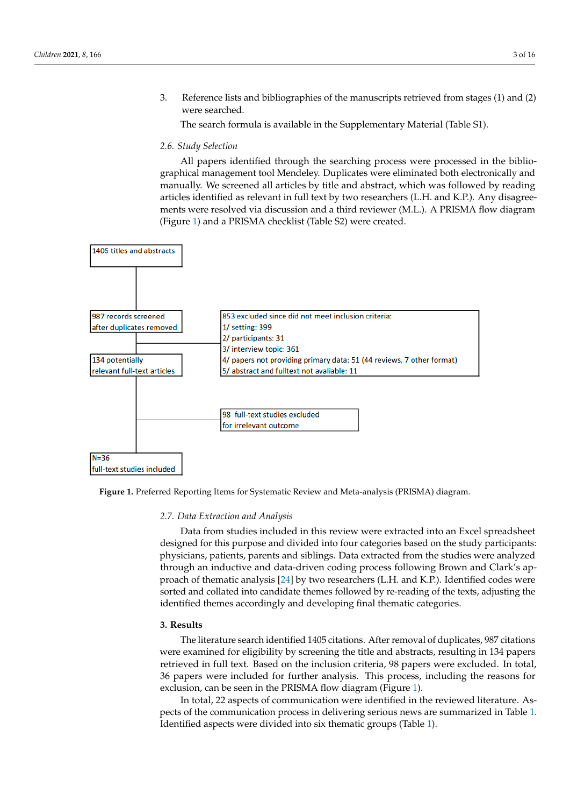3. Reference lists and bibliographies of the manuscripts retrieved from stages (1) and (2) were searched.

The search formula is available in the Supplementary Material (Table S1).

#### *2.6. Study Selection*

All papers identified through the searching process were processed in the bibliographical management tool Mendeley. Duplicates were eliminated both electronically and manually. We screened all articles by title and abstract, which was followed by reading articles identified as relevant in full text by two researchers (L.H. and K.P.). Any disagreements were resolved via discussion and a third reviewer (M.L.). A PRISMA flow diagram (Figure [1\)](#page-2-0) and a PRISMA checklist (Table S2) were created.

<span id="page-2-0"></span>

**Figure 1.** Preferred Reporting Items for Systematic Review and Meta-analysis (PRISMA) diagram. **Figure 1.** Preferred Reporting Items for Systematic Review and Meta-analysis (PRISMA) diagram.

## In total, 22 aspects of communication were identified in the reviewed literature. Aspects *2.7. Data Extraction and Analysis*

of the communication process in delivering serious news are summarized in Table 1. Identi-Data from studies included in this review were extracted into an Excel spreadsheet physicians, patients, parents and siblings. Data extracted from the studies were analyzed proach of thematic analysis [\[24\]](#page-14-15) by two researchers (L.H. and K.P.). Identified codes were sorted and collated into candidate themes followed by re-reading of the texts, adjusting the identified themes accordingly and developing final thematic categories. designed for this purpose and divided into four categories based on the study participants: through an inductive and data-driven coding process following Brown and Clark's ap-

#### $3.$  Results **3. Results**

The literature search identified 1405 citations. After removal of duplicates, 987 citations were examined for eligibility by screening the title and abstracts, resulting in 134 papers retrieved in full text. Based on the inclusion criteria, 98 papers were excluded. In total, 36 papers were included for further analysis. This process, including the reasons for exclusion, can be seen in the PRISMA flow diagram (Figure 1).

In total, 22 aspects of communication were identified in the reviewed literature. As-pects of the communication process in delivering serious news are summarized in Table [1.](#page-3-0) Identified aspects were divided into si[x](#page-3-0) thematic groups (Table 1).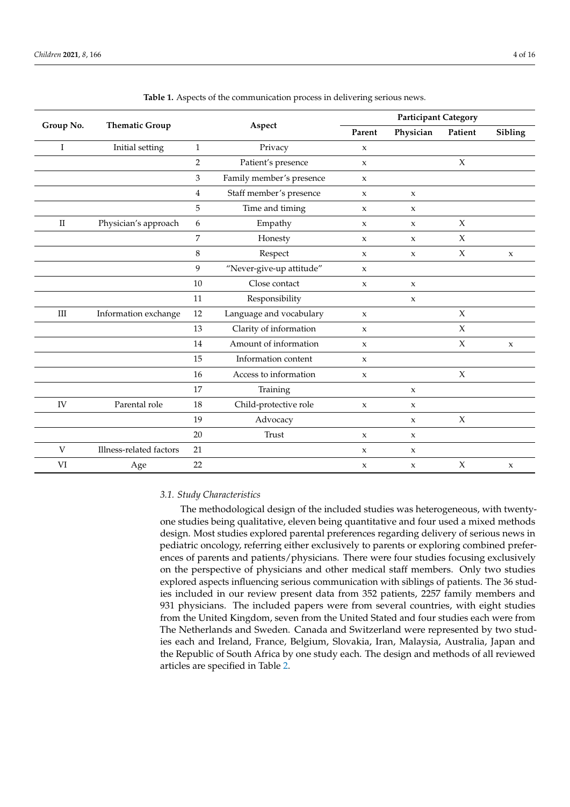<span id="page-3-0"></span>

|             |                         |                |                          | <b>Participant Category</b> |                     |                     |              |
|-------------|-------------------------|----------------|--------------------------|-----------------------------|---------------------|---------------------|--------------|
| Group No.   | <b>Thematic Group</b>   |                | Aspect                   | Parent                      | Physician           | Patient             | Sibling      |
| I           | Initial setting         | $\mathbf{1}$   | Privacy                  | $\mathbf x$                 |                     |                     |              |
|             |                         | $\overline{2}$ | Patient's presence       | $\mathbf{x}$                |                     | $\mathsf X$         |              |
|             |                         | 3              | Family member's presence | $\mathsf X$                 |                     |                     |              |
|             |                         | $\overline{4}$ | Staff member's presence  | $\mathbf{x}$                | $\mathbf{x}$        |                     |              |
|             |                         | 5              | Time and timing          | X                           | $\boldsymbol{\chi}$ |                     |              |
| $_{\rm II}$ | Physician's approach    | 6              | Empathy                  | X                           | $\mathbf x$         | $\chi$              |              |
|             |                         | 7              | Honesty                  | $\mathbf{x}$                | $\mathbf{x}$        | $\chi$              |              |
|             |                         | $\,8\,$        | Respect                  | $\mathsf X$                 | $\mathsf X$         | $\boldsymbol{\chi}$ | $\mathsf X$  |
|             |                         | $\overline{9}$ | "Never-give-up attitude" | $\mathbf{x}$                |                     |                     |              |
|             |                         | 10             | Close contact            | $\mathbf{x}$                | $\mathbf{x}$        |                     |              |
|             |                         | 11             | Responsibility           |                             | $\boldsymbol{\chi}$ |                     |              |
| Ш           | Information exchange    | 12             | Language and vocabulary  | $\mathsf X$                 |                     | $\mathsf X$         |              |
|             |                         | 13             | Clarity of information   | $\mathbf{x}$                |                     | $\chi$              |              |
|             |                         | 14             | Amount of information    | X                           |                     | $\chi$              | $\mathbf{x}$ |
|             |                         | 15             | Information content      | $\mathbf x$                 |                     |                     |              |
|             |                         | 16             | Access to information    | $\mathbf{x}$                |                     | $\chi$              |              |
|             |                         | 17             | Training                 |                             | $\mathsf X$         |                     |              |
| IV          | Parental role           | 18             | Child-protective role    | $\mathbf{x}$                | $\mathbf{x}$        |                     |              |
|             |                         | 19             | Advocacy                 |                             | $\mathbf{x}$        | $\mathsf X$         |              |
|             |                         | 20             | Trust                    | $\boldsymbol{\chi}$         | $\boldsymbol{\chi}$ |                     |              |
| V           | Illness-related factors | 21             |                          | X                           | $\mathbf x$         |                     |              |
| VI          | Age                     | 22             |                          | X                           | $\mathbf x$         | $\chi$              | $\mathsf X$  |

**Table 1.** Aspects of the communication process in delivering serious news.

#### *3.1. Study Characteristics*

The methodological design of the included studies was heterogeneous, with twentyone studies being qualitative, eleven being quantitative and four used a mixed methods design. Most studies explored parental preferences regarding delivery of serious news in pediatric oncology, referring either exclusively to parents or exploring combined preferences of parents and patients/physicians. There were four studies focusing exclusively on the perspective of physicians and other medical staff members. Only two studies explored aspects influencing serious communication with siblings of patients. The 36 studies included in our review present data from 352 patients, 2257 family members and 931 physicians. The included papers were from several countries, with eight studies from the United Kingdom, seven from the United Stated and four studies each were from The Netherlands and Sweden. Canada and Switzerland were represented by two studies each and Ireland, France, Belgium, Slovakia, Iran, Malaysia, Australia, Japan and the Republic of South Africa by one study each. The design and methods of all reviewed articles are specified in Table [2.](#page-7-0)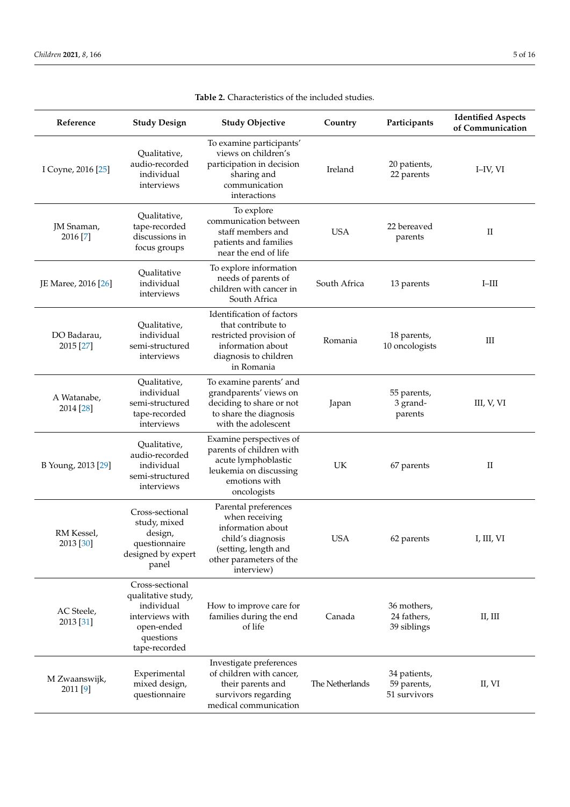| Reference                 | <b>Study Design</b>                                                                                                | <b>Study Objective</b>                                                                                                                            | Country         | Participants                                | <b>Identified Aspects</b><br>of Communication |
|---------------------------|--------------------------------------------------------------------------------------------------------------------|---------------------------------------------------------------------------------------------------------------------------------------------------|-----------------|---------------------------------------------|-----------------------------------------------|
| I Coyne, 2016 [25]        | Qualitative,<br>audio-recorded<br>individual<br>interviews                                                         | To examine participants'<br>views on children's<br>participation in decision<br>sharing and<br>communication<br>interactions                      | Ireland         | 20 patients,<br>22 parents                  | I-IV, VI                                      |
| JM Snaman,<br>2016 [7]    | Qualitative,<br>tape-recorded<br>discussions in<br>focus groups                                                    | To explore<br>communication between<br>staff members and<br>patients and families<br>near the end of life                                         | <b>USA</b>      | 22 bereaved<br>parents                      | $_{\rm II}$                                   |
| JE Maree, 2016 [26]       | Qualitative<br>individual<br>interviews                                                                            | To explore information<br>needs of parents of<br>children with cancer in<br>South Africa                                                          | South Africa    | 13 parents                                  | $I$ -III                                      |
| DO Badarau,<br>2015 [27]  | Qualitative,<br>individual<br>semi-structured<br>interviews                                                        | Identification of factors<br>that contribute to<br>restricted provision of<br>information about<br>diagnosis to children<br>in Romania            | Romania         | 18 parents,<br>10 oncologists               | Ш                                             |
| A Watanabe,<br>2014 [28]  | Qualitative,<br>individual<br>semi-structured<br>tape-recorded<br>interviews                                       | To examine parents' and<br>grandparents' views on<br>deciding to share or not<br>to share the diagnosis<br>with the adolescent                    | Japan           | 55 parents,<br>3 grand-<br>parents          | III, V, VI                                    |
| B Young, 2013 [29]        | Qualitative,<br>audio-recorded<br>individual<br>semi-structured<br>interviews                                      | Examine perspectives of<br>parents of children with<br>acute lymphoblastic<br>leukemia on discussing<br>emotions with<br>oncologists              | UK              | 67 parents                                  | $_{\rm II}$                                   |
| RM Kessel,<br>2013 [30]   | Cross-sectional<br>study, mixed<br>design,<br>questionnaire<br>designed by expert<br>panel                         | Parental preferences<br>when receiving<br>information about<br>child's diagnosis<br>(setting, length and<br>other parameters of the<br>interview) | <b>USA</b>      | 62 parents                                  | I, III, VI                                    |
| AC Steele,<br>2013 [31]   | Cross-sectional<br>qualitative study,<br>individual<br>interviews with<br>open-ended<br>questions<br>tape-recorded | How to improve care for<br>families during the end<br>of life                                                                                     | Canada          | 36 mothers,<br>24 fathers,<br>39 siblings   | II, III                                       |
| M Zwaanswijk,<br>2011 [9] | Experimental<br>mixed design,<br>questionnaire                                                                     | Investigate preferences<br>of children with cancer,<br>their parents and<br>survivors regarding<br>medical communication                          | The Netherlands | 34 patients,<br>59 parents,<br>51 survivors | II, VI                                        |

### **Table 2.** Characteristics of the included studies.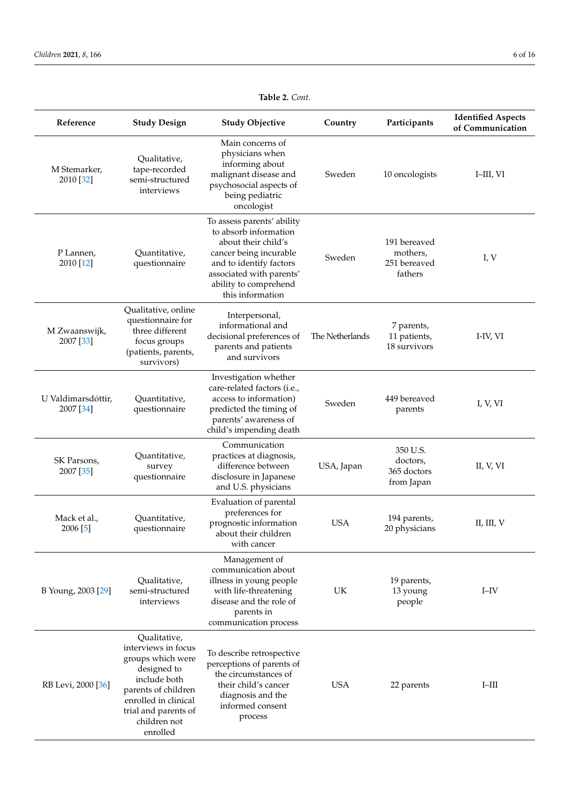| Reference                       | <b>Study Design</b>                                                                                                                                                                        | <b>Study Objective</b>                                                                                                                                                                                   | Country         | Participants                                        | <b>Identified Aspects</b><br>of Communication |
|---------------------------------|--------------------------------------------------------------------------------------------------------------------------------------------------------------------------------------------|----------------------------------------------------------------------------------------------------------------------------------------------------------------------------------------------------------|-----------------|-----------------------------------------------------|-----------------------------------------------|
| M Stemarker,<br>2010 [32]       | Qualitative,<br>tape-recorded<br>semi-structured<br>interviews                                                                                                                             | Main concerns of<br>physicians when<br>informing about<br>malignant disease and<br>psychosocial aspects of<br>being pediatric<br>oncologist                                                              | Sweden          | 10 oncologists                                      | I-III, VI                                     |
| P Lannen,<br>2010 [12]          | Quantitative,<br>questionnaire                                                                                                                                                             | To assess parents' ability<br>to absorb information<br>about their child's<br>cancer being incurable<br>and to identify factors<br>associated with parents'<br>ability to comprehend<br>this information | Sweden          | 191 bereaved<br>mothers,<br>251 bereaved<br>fathers | I, V                                          |
| M Zwaanswijk,<br>2007 [33]      | Qualitative, online<br>questionnaire for<br>three different<br>focus groups<br>(patients, parents,<br>survivors)                                                                           | Interpersonal,<br>informational and<br>decisional preferences of<br>parents and patients<br>and survivors                                                                                                | The Netherlands | 7 parents,<br>11 patients,<br>18 survivors          | I-IV, VI                                      |
| U Valdimarsdóttir,<br>2007 [34] | Quantitative,<br>questionnaire                                                                                                                                                             | Investigation whether<br>care-related factors (i.e.,<br>access to information)<br>predicted the timing of<br>parents' awareness of<br>child's impending death                                            | Sweden          | 449 bereaved<br>parents                             | I, V, VI                                      |
| SK Parsons,<br>2007 [35]        | Quantitative,<br>survey<br>questionnaire                                                                                                                                                   | Communication<br>practices at diagnosis,<br>difference between<br>disclosure in Japanese<br>and U.S. physicians                                                                                          | USA, Japan      | 350 U.S.<br>doctors,<br>365 doctors<br>from Japan   | II, V, VI                                     |
| Mack et al.,<br>2006 [5]        | Quantitative,<br>questionnaire                                                                                                                                                             | Evaluation of parental<br>preferences for<br>prognostic information<br>about their children<br>with cancer                                                                                               | <b>USA</b>      | 194 parents,<br>20 physicians                       | II, III, V                                    |
| B Young, 2003 [29]              | Qualitative,<br>semi-structured<br>interviews                                                                                                                                              | Management of<br>communication about<br>illness in young people<br>with life-threatening<br>disease and the role of<br>parents in<br>communication process                                               | UK              | 19 parents,<br>13 young<br>people                   | $I$ -IV                                       |
| RB Levi, 2000 [36]              | Qualitative,<br>interviews in focus<br>groups which were<br>designed to<br>include both<br>parents of children<br>enrolled in clinical<br>trial and parents of<br>children not<br>enrolled | To describe retrospective<br>perceptions of parents of<br>the circumstances of<br>their child's cancer<br>diagnosis and the<br>informed consent<br>process                                               | <b>USA</b>      | 22 parents                                          | $I$ -III                                      |

### **Table 2.** *Cont.*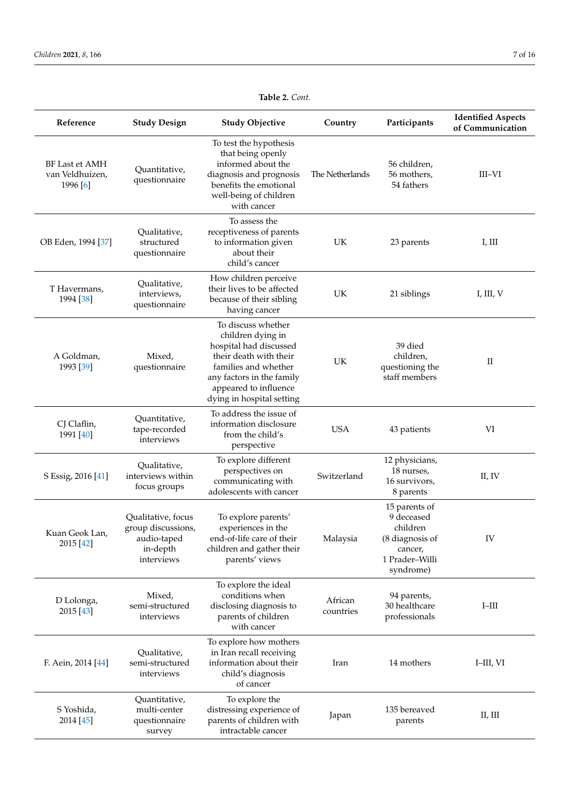| Reference                                            | <b>Study Design</b>                                                               | <b>Study Objective</b>                                                                                                                                                                                 | Country              | Participants                                                                                         | <b>Identified Aspects</b><br>of Communication |
|------------------------------------------------------|-----------------------------------------------------------------------------------|--------------------------------------------------------------------------------------------------------------------------------------------------------------------------------------------------------|----------------------|------------------------------------------------------------------------------------------------------|-----------------------------------------------|
| <b>BF Last et AMH</b><br>van Veldhuizen,<br>1996 [6] | Quantitative,<br>questionnaire                                                    | To test the hypothesis<br>that being openly<br>informed about the<br>diagnosis and prognosis<br>benefits the emotional<br>well-being of children<br>with cancer                                        | The Netherlands      | 56 children,<br>56 mothers,<br>54 fathers                                                            | III-VI                                        |
| OB Eden, 1994 [37]                                   | Qualitative,<br>structured<br>questionnaire                                       | To assess the<br>receptiveness of parents<br>to information given<br>about their<br>child's cancer                                                                                                     | UK                   | 23 parents                                                                                           | I, III                                        |
| T Havermans,<br>1994 [38]                            | Qualitative,<br>interviews,<br>questionnaire                                      | How children perceive<br>their lives to be affected<br>because of their sibling<br>having cancer                                                                                                       | UK                   | 21 siblings                                                                                          | I, III, V                                     |
| A Goldman,<br>1993 [39]                              | Mixed,<br>questionnaire                                                           | To discuss whether<br>children dying in<br>hospital had discussed<br>their death with their<br>families and whether<br>any factors in the family<br>appeared to influence<br>dying in hospital setting | UK                   | 39 died<br>children,<br>questioning the<br>staff members                                             | $\rm II$                                      |
| CJ Claflin,<br>1991 [40]                             | Quantitative,<br>tape-recorded<br>interviews                                      | To address the issue of<br>information disclosure<br>from the child's<br>perspective                                                                                                                   | <b>USA</b>           | 43 patients                                                                                          | VI                                            |
| S Essig, 2016 [41]                                   | Qualitative,<br>interviews within<br>focus groups                                 | To explore different<br>perspectives on<br>communicating with<br>adolescents with cancer                                                                                                               | Switzerland          | 12 physicians,<br>18 nurses,<br>16 survivors,<br>8 parents                                           | II, IV                                        |
| Kuan Geok Lan,<br>2015 [42]                          | Qualitative, focus<br>group discussions,<br>audio-taped<br>in-depth<br>interviews | To explore parents'<br>experiences in the<br>end-of-life care of their<br>children and gather their<br>parents' views                                                                                  | Malaysia             | 15 parents of<br>9 deceased<br>children<br>(8 diagnosis of<br>cancer,<br>1 Prader-Willi<br>syndrome) | IV                                            |
| D Lolonga,<br>2015 [43]                              | Mixed,<br>semi-structured<br>interviews                                           | To explore the ideal<br>conditions when<br>disclosing diagnosis to<br>parents of children<br>with cancer                                                                                               | African<br>countries | 94 parents,<br>30 healthcare<br>professionals                                                        | $I-HII$                                       |
| F. Aein, 2014 [44]                                   | Qualitative,<br>semi-structured<br>interviews                                     | To explore how mothers<br>in Iran recall receiving<br>information about their<br>child's diagnosis<br>of cancer                                                                                        | Iran                 | 14 mothers                                                                                           | I-III, VI                                     |
| S Yoshida,<br>2014 [45]                              | Quantitative,<br>multi-center<br>questionnaire<br>survey                          | To explore the<br>distressing experience of<br>parents of children with<br>intractable cancer                                                                                                          | Japan                | 135 bereaved<br>parents                                                                              | II, III                                       |

#### **Table 2.** *Cont.*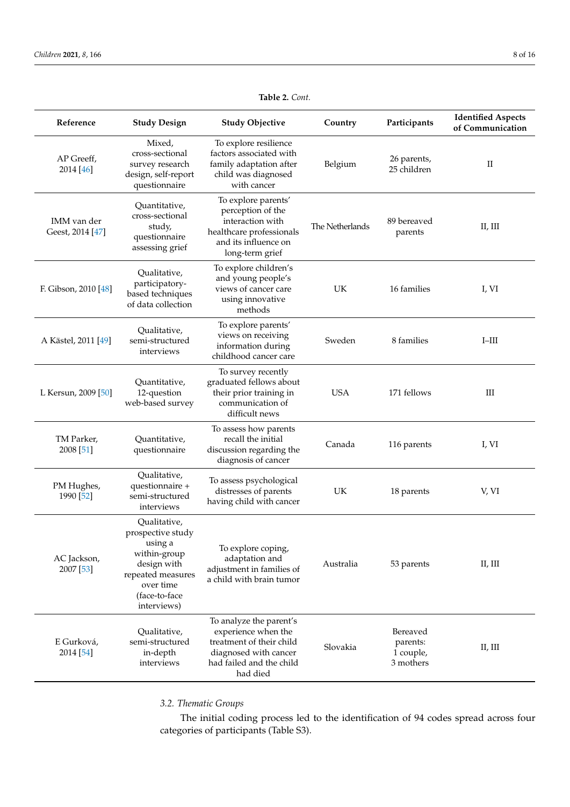<span id="page-7-0"></span>

| Reference                       | <b>Study Design</b>                                                                                                                           | <b>Study Objective</b>                                                                                                                      | Country         | Participants                                   | <b>Identified Aspects</b><br>of Communication |
|---------------------------------|-----------------------------------------------------------------------------------------------------------------------------------------------|---------------------------------------------------------------------------------------------------------------------------------------------|-----------------|------------------------------------------------|-----------------------------------------------|
| AP Greeff,<br>2014 [46]         | Mixed,<br>cross-sectional<br>survey research<br>design, self-report<br>questionnaire                                                          | To explore resilience<br>factors associated with<br>family adaptation after<br>child was diagnosed<br>with cancer                           | Belgium         | 26 parents,<br>25 children                     | $\rm II$                                      |
| IMM van der<br>Geest, 2014 [47] | Quantitative,<br>cross-sectional<br>study,<br>questionnaire<br>assessing grief                                                                | To explore parents'<br>perception of the<br>interaction with<br>healthcare professionals<br>and its influence on<br>long-term grief         | The Netherlands | 89 bereaved<br>parents                         | II, III                                       |
| F. Gibson, 2010 [48]            | Qualitative,<br>participatory-<br>based techniques<br>of data collection                                                                      | To explore children's<br>and young people's<br>views of cancer care<br>using innovative<br>methods                                          | UK              | 16 families                                    | I, VI                                         |
| A Kästel, 2011 [49]             | Qualitative,<br>semi-structured<br>interviews                                                                                                 | To explore parents'<br>views on receiving<br>information during<br>childhood cancer care                                                    | Sweden          | 8 families                                     | $I$ -III                                      |
| L Kersun, 2009 [50]             | Quantitative,<br>12-question<br>web-based survey                                                                                              | To survey recently<br>graduated fellows about<br>their prior training in<br>communication of<br>difficult news                              | <b>USA</b>      | 171 fellows                                    | Ш                                             |
| TM Parker,<br>2008 [51]         | Quantitative,<br>questionnaire                                                                                                                | To assess how parents<br>recall the initial<br>discussion regarding the<br>diagnosis of cancer                                              | Canada          | 116 parents                                    | I, VI                                         |
| PM Hughes,<br>1990 [52]         | Qualitative,<br>questionnaire +<br>semi-structured<br>interviews                                                                              | To assess psychological<br>distresses of parents<br>having child with cancer                                                                | UK              | 18 parents                                     | V, VI                                         |
| AC Jackson,<br>2007 [53]        | Qualitative,<br>prospective study<br>using a<br>within-group<br>design with<br>repeated measures<br>over time<br>(face-to-face<br>interviews) | To explore coping,<br>adaptation and<br>adjustment in families of<br>a child with brain tumor                                               | Australia       | 53 parents                                     | II, III                                       |
| E Gurková,<br>2014 [54]         | Qualitative,<br>semi-structured<br>in-depth<br>interviews                                                                                     | To analyze the parent's<br>experience when the<br>treatment of their child<br>diagnosed with cancer<br>had failed and the child<br>had died | Slovakia        | Bereaved<br>parents:<br>1 couple,<br>3 mothers | II, III                                       |

#### **Table 2.** *Cont.*

*3.2. Thematic Groups*

The initial coding process led to the identification of 94 codes spread across four categories of participants (Table S3).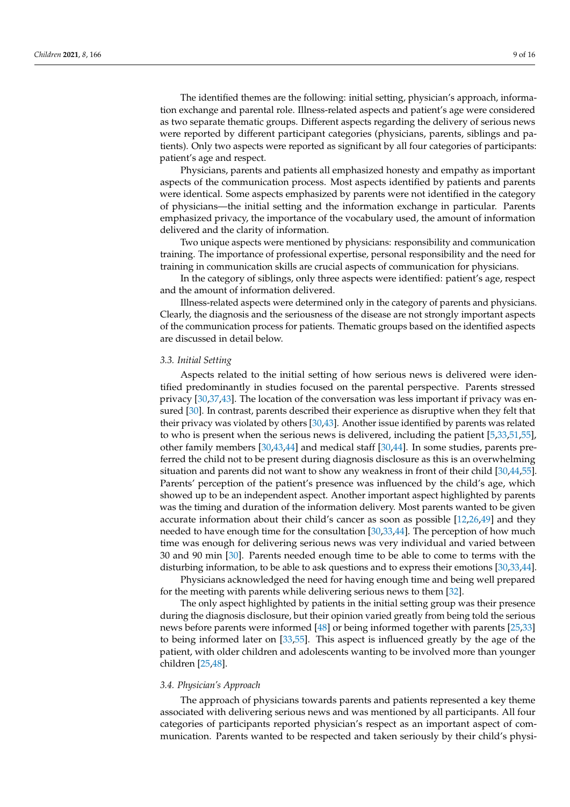The identified themes are the following: initial setting, physician's approach, information exchange and parental role. Illness-related aspects and patient's age were considered as two separate thematic groups. Different aspects regarding the delivery of serious news were reported by different participant categories (physicians, parents, siblings and patients). Only two aspects were reported as significant by all four categories of participants: patient's age and respect.

Physicians, parents and patients all emphasized honesty and empathy as important aspects of the communication process. Most aspects identified by patients and parents were identical. Some aspects emphasized by parents were not identified in the category of physicians—the initial setting and the information exchange in particular. Parents emphasized privacy, the importance of the vocabulary used, the amount of information delivered and the clarity of information.

Two unique aspects were mentioned by physicians: responsibility and communication training. The importance of professional expertise, personal responsibility and the need for training in communication skills are crucial aspects of communication for physicians.

In the category of siblings, only three aspects were identified: patient's age, respect and the amount of information delivered.

Illness-related aspects were determined only in the category of parents and physicians. Clearly, the diagnosis and the seriousness of the disease are not strongly important aspects of the communication process for patients. Thematic groups based on the identified aspects are discussed in detail below.

#### *3.3. Initial Setting*

Aspects related to the initial setting of how serious news is delivered were identified predominantly in studies focused on the parental perspective. Parents stressed privacy [\[30,](#page-14-21)[37](#page-14-28)[,43\]](#page-15-5). The location of the conversation was less important if privacy was ensured [\[30\]](#page-14-21). In contrast, parents described their experience as disruptive when they felt that their privacy was violated by others [\[30,](#page-14-21)[43\]](#page-15-5). Another issue identified by parents was related to who is present when the serious news is delivered, including the patient [\[5,](#page-13-2)[33,](#page-14-24)[51,](#page-15-13)[55\]](#page-15-17), other family members [\[30,](#page-14-21)[43,](#page-15-5)[44\]](#page-15-6) and medical staff [\[30,](#page-14-21)[44\]](#page-15-6). In some studies, parents preferred the child not to be present during diagnosis disclosure as this is an overwhelming situation and parents did not want to show any weakness in front of their child [\[30](#page-14-21)[,44](#page-15-6)[,55\]](#page-15-17). Parents' perception of the patient's presence was influenced by the child's age, which showed up to be an independent aspect. Another important aspect highlighted by parents was the timing and duration of the information delivery. Most parents wanted to be given accurate information about their child's cancer as soon as possible [\[12,](#page-14-5)[26,](#page-14-17)[49\]](#page-15-11) and they needed to have enough time for the consultation [\[30,](#page-14-21)[33,](#page-14-24)[44\]](#page-15-6). The perception of how much time was enough for delivering serious news was very individual and varied between 30 and 90 min [\[30\]](#page-14-21). Parents needed enough time to be able to come to terms with the disturbing information, to be able to ask questions and to express their emotions [\[30](#page-14-21)[,33,](#page-14-24)[44\]](#page-15-6).

Physicians acknowledged the need for having enough time and being well prepared for the meeting with parents while delivering serious news to them [\[32\]](#page-14-23).

The only aspect highlighted by patients in the initial setting group was their presence during the diagnosis disclosure, but their opinion varied greatly from being told the serious news before parents were informed [\[48\]](#page-15-10) or being informed together with parents [\[25](#page-14-16)[,33\]](#page-14-24) to being informed later on [\[33,](#page-14-24)[55\]](#page-15-17). This aspect is influenced greatly by the age of the patient, with older children and adolescents wanting to be involved more than younger children [\[25](#page-14-16)[,48\]](#page-15-10).

#### *3.4. Physician's Approach*

The approach of physicians towards parents and patients represented a key theme associated with delivering serious news and was mentioned by all participants. All four categories of participants reported physician's respect as an important aspect of communication. Parents wanted to be respected and taken seriously by their child's physi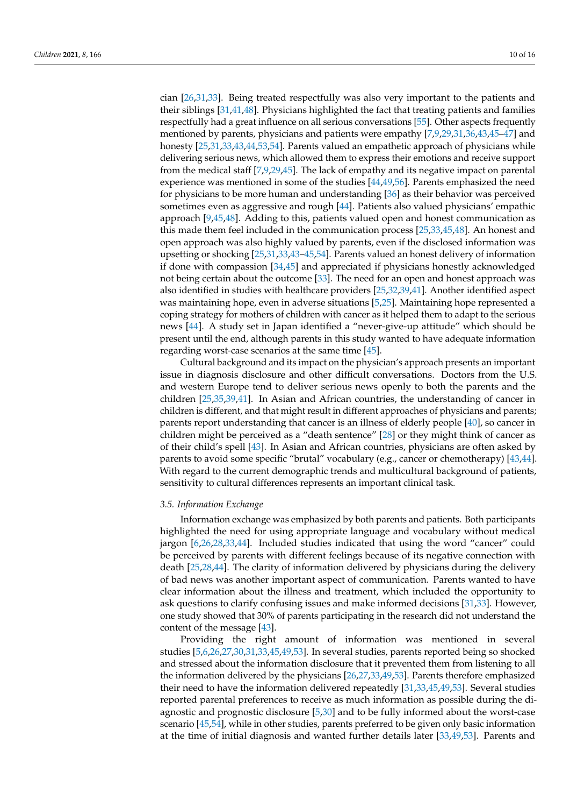cian [\[26](#page-14-17)[,31](#page-14-22)[,33\]](#page-14-24). Being treated respectfully was also very important to the patients and their siblings [\[31,](#page-14-22)[41](#page-15-3)[,48\]](#page-15-10). Physicians highlighted the fact that treating patients and families respectfully had a great influence on all serious conversations [\[55\]](#page-15-17). Other aspects frequently mentioned by parents, physicians and patients were empathy [\[7,](#page-14-0)[9,](#page-14-2)[29](#page-14-20)[,31](#page-14-22)[,36](#page-14-27)[,43](#page-15-5)[,45](#page-15-7)[–47\]](#page-15-9) and honesty [\[25](#page-14-16)[,31,](#page-14-22)[33,](#page-14-24)[43,](#page-15-5)[44](#page-15-6)[,53](#page-15-15)[,54\]](#page-15-16). Parents valued an empathetic approach of physicians while delivering serious news, which allowed them to express their emotions and receive support from the medical staff [\[7](#page-14-0)[,9,](#page-14-2)[29,](#page-14-20)[45\]](#page-15-7). The lack of empathy and its negative impact on parental experience was mentioned in some of the studies [\[44,](#page-15-6)[49](#page-15-11)[,56\]](#page-15-18). Parents emphasized the need for physicians to be more human and understanding [\[36\]](#page-14-27) as their behavior was perceived sometimes even as aggressive and rough [\[44\]](#page-15-6). Patients also valued physicians' empathic approach [\[9,](#page-14-2)[45,](#page-15-7)[48\]](#page-15-10). Adding to this, patients valued open and honest communication as this made them feel included in the communication process [\[25,](#page-14-16)[33,](#page-14-24)[45,](#page-15-7)[48\]](#page-15-10). An honest and open approach was also highly valued by parents, even if the disclosed information was upsetting or shocking [\[25](#page-14-16)[,31](#page-14-22)[,33](#page-14-24)[,43](#page-15-5)[–45](#page-15-7)[,54\]](#page-15-16). Parents valued an honest delivery of information if done with compassion [\[34,](#page-14-25)[45\]](#page-15-7) and appreciated if physicians honestly acknowledged not being certain about the outcome [\[33\]](#page-14-24). The need for an open and honest approach was also identified in studies with healthcare providers [\[25,](#page-14-16)[32,](#page-14-23)[39](#page-15-1)[,41\]](#page-15-3). Another identified aspect was maintaining hope, even in adverse situations [\[5](#page-13-2)[,25\]](#page-14-16). Maintaining hope represented a coping strategy for mothers of children with cancer as it helped them to adapt to the serious news [\[44\]](#page-15-6). A study set in Japan identified a "never-give-up attitude" which should be present until the end, although parents in this study wanted to have adequate information regarding worst-case scenarios at the same time [\[45\]](#page-15-7).

Cultural background and its impact on the physician's approach presents an important issue in diagnosis disclosure and other difficult conversations. Doctors from the U.S. and western Europe tend to deliver serious news openly to both the parents and the children [\[25,](#page-14-16)[35,](#page-14-26)[39,](#page-15-1)[41\]](#page-15-3). In Asian and African countries, the understanding of cancer in children is different, and that might result in different approaches of physicians and parents; parents report understanding that cancer is an illness of elderly people [\[40\]](#page-15-2), so cancer in children might be perceived as a "death sentence" [\[28\]](#page-14-19) or they might think of cancer as of their child's spell [\[43\]](#page-15-5). In Asian and African countries, physicians are often asked by parents to avoid some specific "brutal" vocabulary (e.g., cancer or chemotherapy) [\[43,](#page-15-5)[44\]](#page-15-6). With regard to the current demographic trends and multicultural background of patients, sensitivity to cultural differences represents an important clinical task.

#### *3.5. Information Exchange*

Information exchange was emphasized by both parents and patients. Both participants highlighted the need for using appropriate language and vocabulary without medical jargon [\[6,](#page-13-3)[26,](#page-14-17)[28,](#page-14-19)[33,](#page-14-24)[44\]](#page-15-6). Included studies indicated that using the word "cancer" could be perceived by parents with different feelings because of its negative connection with death [\[25,](#page-14-16)[28,](#page-14-19)[44\]](#page-15-6). The clarity of information delivered by physicians during the delivery of bad news was another important aspect of communication. Parents wanted to have clear information about the illness and treatment, which included the opportunity to ask questions to clarify confusing issues and make informed decisions [\[31,](#page-14-22)[33\]](#page-14-24). However, one study showed that 30% of parents participating in the research did not understand the content of the message [\[43\]](#page-15-5).

Providing the right amount of information was mentioned in several studies [\[5,](#page-13-2)[6,](#page-13-3)[26,](#page-14-17)[27](#page-14-18)[,30](#page-14-21)[,31](#page-14-22)[,33](#page-14-24)[,45](#page-15-7)[,49](#page-15-11)[,53\]](#page-15-15). In several studies, parents reported being so shocked and stressed about the information disclosure that it prevented them from listening to all the information delivered by the physicians [\[26,](#page-14-17)[27,](#page-14-18)[33](#page-14-24)[,49](#page-15-11)[,53\]](#page-15-15). Parents therefore emphasized their need to have the information delivered repeatedly [\[31](#page-14-22)[,33,](#page-14-24)[45,](#page-15-7)[49,](#page-15-11)[53\]](#page-15-15). Several studies reported parental preferences to receive as much information as possible during the diagnostic and prognostic disclosure [\[5](#page-13-2)[,30\]](#page-14-21) and to be fully informed about the worst-case scenario [\[45](#page-15-7)[,54\]](#page-15-16), while in other studies, parents preferred to be given only basic information at the time of initial diagnosis and wanted further details later [\[33,](#page-14-24)[49,](#page-15-11)[53\]](#page-15-15). Parents and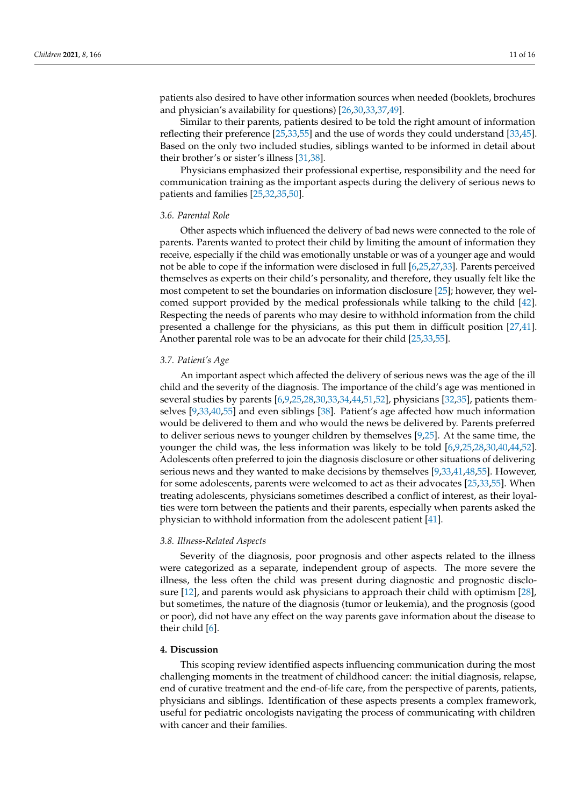patients also desired to have other information sources when needed (booklets, brochures and physician's availability for questions) [\[26](#page-14-17)[,30](#page-14-21)[,33](#page-14-24)[,37](#page-14-28)[,49\]](#page-15-11).

Similar to their parents, patients desired to be told the right amount of information reflecting their preference [\[25,](#page-14-16)[33](#page-14-24)[,55\]](#page-15-17) and the use of words they could understand [\[33,](#page-14-24)[45\]](#page-15-7). Based on the only two included studies, siblings wanted to be informed in detail about their brother's or sister's illness [\[31](#page-14-22)[,38\]](#page-15-0).

Physicians emphasized their professional expertise, responsibility and the need for communication training as the important aspects during the delivery of serious news to patients and families [\[25,](#page-14-16)[32](#page-14-23)[,35](#page-14-26)[,50\]](#page-15-12).

#### *3.6. Parental Role*

Other aspects which influenced the delivery of bad news were connected to the role of parents. Parents wanted to protect their child by limiting the amount of information they receive, especially if the child was emotionally unstable or was of a younger age and would not be able to cope if the information were disclosed in full [\[6,](#page-13-3)[25,](#page-14-16)[27,](#page-14-18)[33\]](#page-14-24). Parents perceived themselves as experts on their child's personality, and therefore, they usually felt like the most competent to set the boundaries on information disclosure [\[25\]](#page-14-16); however, they welcomed support provided by the medical professionals while talking to the child [\[42\]](#page-15-4). Respecting the needs of parents who may desire to withhold information from the child presented a challenge for the physicians, as this put them in difficult position [\[27,](#page-14-18)[41\]](#page-15-3). Another parental role was to be an advocate for their child [\[25](#page-14-16)[,33](#page-14-24)[,55\]](#page-15-17).

#### *3.7. Patient's Age*

An important aspect which affected the delivery of serious news was the age of the ill child and the severity of the diagnosis. The importance of the child's age was mentioned in several studies by parents [\[6](#page-13-3)[,9](#page-14-2)[,25](#page-14-16)[,28](#page-14-19)[,30](#page-14-21)[,33](#page-14-24)[,34](#page-14-25)[,44](#page-15-6)[,51,](#page-15-13)[52\]](#page-15-14), physicians [\[32](#page-14-23)[,35\]](#page-14-26), patients themselves [\[9,](#page-14-2)[33,](#page-14-24)[40,](#page-15-2)[55\]](#page-15-17) and even siblings [\[38\]](#page-15-0). Patient's age affected how much information would be delivered to them and who would the news be delivered by. Parents preferred to deliver serious news to younger children by themselves [\[9,](#page-14-2)[25\]](#page-14-16). At the same time, the younger the child was, the less information was likely to be told [\[6,](#page-13-3)[9](#page-14-2)[,25](#page-14-16)[,28](#page-14-19)[,30](#page-14-21)[,40](#page-15-2)[,44](#page-15-6)[,52\]](#page-15-14). Adolescents often preferred to join the diagnosis disclosure or other situations of delivering serious news and they wanted to make decisions by themselves [\[9](#page-14-2)[,33,](#page-14-24)[41](#page-15-3)[,48,](#page-15-10)[55\]](#page-15-17). However, for some adolescents, parents were welcomed to act as their advocates [\[25](#page-14-16)[,33](#page-14-24)[,55\]](#page-15-17). When treating adolescents, physicians sometimes described a conflict of interest, as their loyalties were torn between the patients and their parents, especially when parents asked the physician to withhold information from the adolescent patient [\[41\]](#page-15-3).

#### *3.8. Illness-Related Aspects*

Severity of the diagnosis, poor prognosis and other aspects related to the illness were categorized as a separate, independent group of aspects. The more severe the illness, the less often the child was present during diagnostic and prognostic disclosure [\[12\]](#page-14-5), and parents would ask physicians to approach their child with optimism [\[28\]](#page-14-19), but sometimes, the nature of the diagnosis (tumor or leukemia), and the prognosis (good or poor), did not have any effect on the way parents gave information about the disease to their child [\[6\]](#page-13-3).

#### **4. Discussion**

This scoping review identified aspects influencing communication during the most challenging moments in the treatment of childhood cancer: the initial diagnosis, relapse, end of curative treatment and the end-of-life care, from the perspective of parents, patients, physicians and siblings. Identification of these aspects presents a complex framework, useful for pediatric oncologists navigating the process of communicating with children with cancer and their families.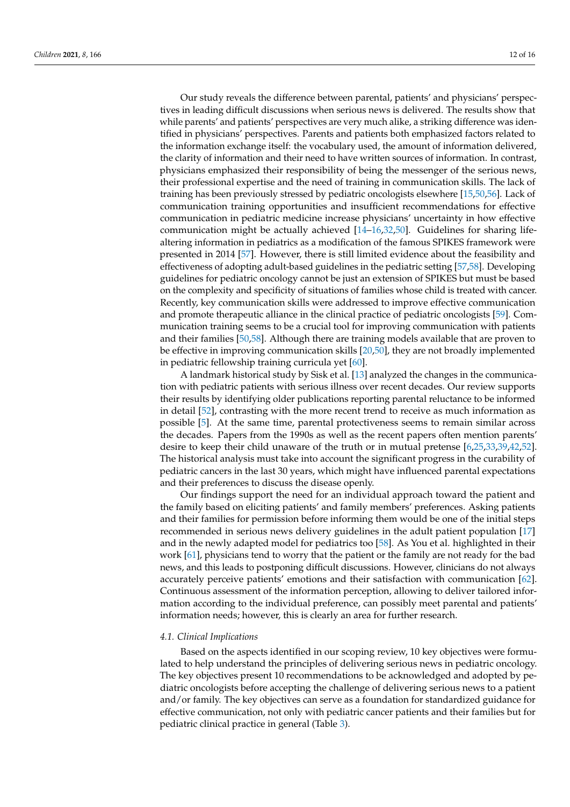Our study reveals the difference between parental, patients' and physicians' perspectives in leading difficult discussions when serious news is delivered. The results show that while parents' and patients' perspectives are very much alike, a striking difference was identified in physicians' perspectives. Parents and patients both emphasized factors related to the information exchange itself: the vocabulary used, the amount of information delivered, the clarity of information and their need to have written sources of information. In contrast, physicians emphasized their responsibility of being the messenger of the serious news, their professional expertise and the need of training in communication skills. The lack of training has been previously stressed by pediatric oncologists elsewhere [\[15](#page-14-8)[,50](#page-15-12)[,56\]](#page-15-18). Lack of communication training opportunities and insufficient recommendations for effective communication in pediatric medicine increase physicians' uncertainty in how effective communication might be actually achieved [\[14](#page-14-7)[–16,](#page-14-9)[32,](#page-14-23)[50\]](#page-15-12). Guidelines for sharing lifealtering information in pediatrics as a modification of the famous SPIKES framework were presented in 2014 [\[57\]](#page-15-19). However, there is still limited evidence about the feasibility and effectiveness of adopting adult-based guidelines in the pediatric setting [\[57](#page-15-19)[,58\]](#page-15-20). Developing guidelines for pediatric oncology cannot be just an extension of SPIKES but must be based on the complexity and specificity of situations of families whose child is treated with cancer. Recently, key communication skills were addressed to improve effective communication and promote therapeutic alliance in the clinical practice of pediatric oncologists [\[59\]](#page-15-21). Communication training seems to be a crucial tool for improving communication with patients and their families [\[50,](#page-15-12)[58\]](#page-15-20). Although there are training models available that are proven to be effective in improving communication skills [\[20](#page-14-11)[,50\]](#page-15-12), they are not broadly implemented in pediatric fellowship training curricula yet [\[60\]](#page-15-22).

A landmark historical study by Sisk et al. [\[13\]](#page-14-6) analyzed the changes in the communication with pediatric patients with serious illness over recent decades. Our review supports their results by identifying older publications reporting parental reluctance to be informed in detail [\[52\]](#page-15-14), contrasting with the more recent trend to receive as much information as possible [\[5\]](#page-13-2). At the same time, parental protectiveness seems to remain similar across the decades. Papers from the 1990s as well as the recent papers often mention parents' desire to keep their child unaware of the truth or in mutual pretense [\[6,](#page-13-3)[25,](#page-14-16)[33,](#page-14-24)[39,](#page-15-1)[42,](#page-15-4)[52\]](#page-15-14). The historical analysis must take into account the significant progress in the curability of pediatric cancers in the last 30 years, which might have influenced parental expectations and their preferences to discuss the disease openly.

Our findings support the need for an individual approach toward the patient and the family based on eliciting patients' and family members' preferences. Asking patients and their families for permission before informing them would be one of the initial steps recommended in serious news delivery guidelines in the adult patient population [\[17\]](#page-14-10) and in the newly adapted model for pediatrics too [\[58\]](#page-15-20). As You et al. highlighted in their work [\[61\]](#page-15-23), physicians tend to worry that the patient or the family are not ready for the bad news, and this leads to postponing difficult discussions. However, clinicians do not always accurately perceive patients' emotions and their satisfaction with communication [\[62\]](#page-15-24). Continuous assessment of the information perception, allowing to deliver tailored information according to the individual preference, can possibly meet parental and patients' information needs; however, this is clearly an area for further research.

#### *4.1. Clinical Implications*

Based on the aspects identified in our scoping review, 10 key objectives were formulated to help understand the principles of delivering serious news in pediatric oncology. The key objectives present 10 recommendations to be acknowledged and adopted by pediatric oncologists before accepting the challenge of delivering serious news to a patient and/or family. The key objectives can serve as a foundation for standardized guidance for effective communication, not only with pediatric cancer patients and their families but for pediatric clinical practice in general (Table [3\)](#page-12-0).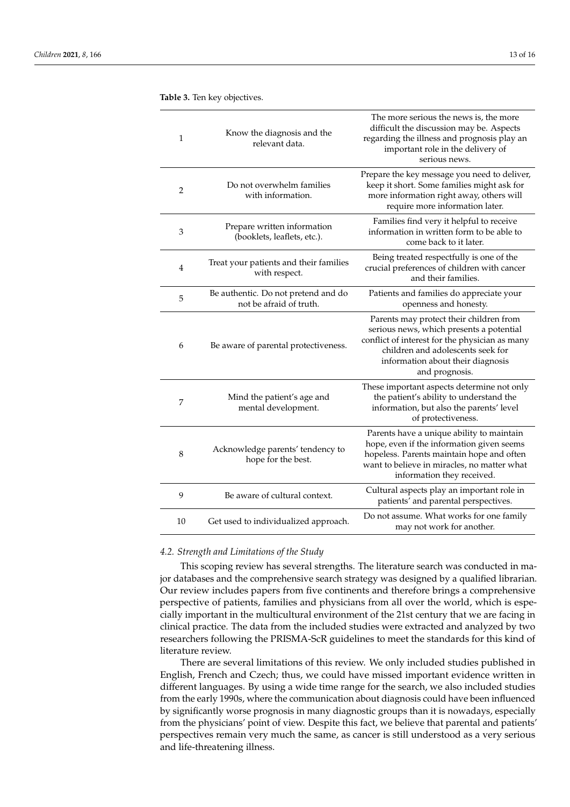| 1  | Know the diagnosis and the<br>relevant data.                   | The more serious the news is, the more<br>difficult the discussion may be. Aspects<br>regarding the illness and prognosis play an<br>important role in the delivery of<br>serious news.                                           |
|----|----------------------------------------------------------------|-----------------------------------------------------------------------------------------------------------------------------------------------------------------------------------------------------------------------------------|
| 2  | Do not overwhelm families<br>with information.                 | Prepare the key message you need to deliver,<br>keep it short. Some families might ask for<br>more information right away, others will<br>require more information later.                                                         |
| 3  | Prepare written information<br>(booklets, leaflets, etc.).     | Families find very it helpful to receive<br>information in written form to be able to<br>come back to it later.                                                                                                                   |
| 4  | Treat your patients and their families<br>with respect.        | Being treated respectfully is one of the<br>crucial preferences of children with cancer<br>and their families.                                                                                                                    |
| 5  | Be authentic. Do not pretend and do<br>not be afraid of truth. | Patients and families do appreciate your<br>openness and honesty.                                                                                                                                                                 |
| 6  | Be aware of parental protectiveness.                           | Parents may protect their children from<br>serious news, which presents a potential<br>conflict of interest for the physician as many<br>children and adolescents seek for<br>information about their diagnosis<br>and prognosis. |
| 7  | Mind the patient's age and<br>mental development.              | These important aspects determine not only<br>the patient's ability to understand the<br>information, but also the parents' level<br>of protectiveness.                                                                           |
| 8  | Acknowledge parents' tendency to<br>hope for the best.         | Parents have a unique ability to maintain<br>hope, even if the information given seems<br>hopeless. Parents maintain hope and often<br>want to believe in miracles, no matter what<br>information they received.                  |
| 9  | Be aware of cultural context.                                  | Cultural aspects play an important role in<br>patients' and parental perspectives.                                                                                                                                                |
| 10 | Get used to individualized approach.                           | Do not assume. What works for one family<br>may not work for another.                                                                                                                                                             |

<span id="page-12-0"></span>**Table 3.** Ten key objectives.

#### *4.2. Strength and Limitations of the Study*

This scoping review has several strengths. The literature search was conducted in major databases and the comprehensive search strategy was designed by a qualified librarian. Our review includes papers from five continents and therefore brings a comprehensive perspective of patients, families and physicians from all over the world, which is especially important in the multicultural environment of the 21st century that we are facing in clinical practice. The data from the included studies were extracted and analyzed by two researchers following the PRISMA-ScR guidelines to meet the standards for this kind of literature review.

There are several limitations of this review. We only included studies published in English, French and Czech; thus, we could have missed important evidence written in different languages. By using a wide time range for the search, we also included studies from the early 1990s, where the communication about diagnosis could have been influenced by significantly worse prognosis in many diagnostic groups than it is nowadays, especially from the physicians' point of view. Despite this fact, we believe that parental and patients' perspectives remain very much the same, as cancer is still understood as a very serious and life-threatening illness.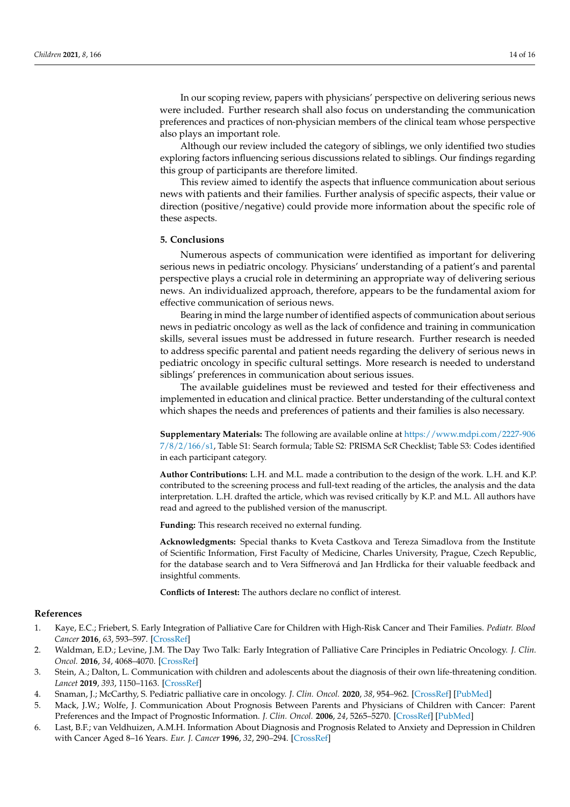In our scoping review, papers with physicians' perspective on delivering serious news were included. Further research shall also focus on understanding the communication preferences and practices of non-physician members of the clinical team whose perspective

Although our review included the category of siblings, we only identified two studies exploring factors influencing serious discussions related to siblings. Our findings regarding this group of participants are therefore limited.

This review aimed to identify the aspects that influence communication about serious news with patients and their families. Further analysis of specific aspects, their value or direction (positive/negative) could provide more information about the specific role of these aspects.

#### **5. Conclusions**

also plays an important role.

Numerous aspects of communication were identified as important for delivering serious news in pediatric oncology. Physicians' understanding of a patient's and parental perspective plays a crucial role in determining an appropriate way of delivering serious news. An individualized approach, therefore, appears to be the fundamental axiom for effective communication of serious news.

Bearing in mind the large number of identified aspects of communication about serious news in pediatric oncology as well as the lack of confidence and training in communication skills, several issues must be addressed in future research. Further research is needed to address specific parental and patient needs regarding the delivery of serious news in pediatric oncology in specific cultural settings. More research is needed to understand siblings' preferences in communication about serious issues.

The available guidelines must be reviewed and tested for their effectiveness and implemented in education and clinical practice. Better understanding of the cultural context which shapes the needs and preferences of patients and their families is also necessary.

**Supplementary Materials:** The following are available online at [https://www.mdpi.com/2227-906](https://www.mdpi.com/2227-9067/8/2/166/s1) [7/8/2/166/s1,](https://www.mdpi.com/2227-9067/8/2/166/s1) Table S1: Search formula; Table S2: PRISMA ScR Checklist; Table S3: Codes identified in each participant category.

**Author Contributions:** L.H. and M.L. made a contribution to the design of the work. L.H. and K.P. contributed to the screening process and full-text reading of the articles, the analysis and the data interpretation. L.H. drafted the article, which was revised critically by K.P. and M.L. All authors have read and agreed to the published version of the manuscript.

**Funding:** This research received no external funding.

**Acknowledgments:** Special thanks to Kveta Castkova and Tereza Simadlova from the Institute of Scientific Information, First Faculty of Medicine, Charles University, Prague, Czech Republic, for the database search and to Vera Siffnerová and Jan Hrdlicka for their valuable feedback and insightful comments.

**Conflicts of Interest:** The authors declare no conflict of interest.

#### **References**

- <span id="page-13-0"></span>1. Kaye, E.C.; Friebert, S. Early Integration of Palliative Care for Children with High-Risk Cancer and Their Families. *Pediatr. Blood Cancer* **2016**, *63*, 593–597. [\[CrossRef\]](http://doi.org/10.1002/pbc.25848)
- 2. Waldman, E.D.; Levine, J.M. The Day Two Talk: Early Integration of Palliative Care Principles in Pediatric Oncology. *J. Clin. Oncol.* **2016**, *34*, 4068–4070. [\[CrossRef\]](http://doi.org/10.1200/JCO.2016.69.3739)
- <span id="page-13-4"></span>3. Stein, A.; Dalton, L. Communication with children and adolescents about the diagnosis of their own life-threatening condition. *Lancet* **2019**, *393*, 1150–1163. [\[CrossRef\]](http://doi.org/10.1016/S0140-6736(18)33201-X)
- <span id="page-13-1"></span>4. Snaman, J.; McCarthy, S. Pediatric palliative care in oncology. *J. Clin. Oncol.* **2020**, *38*, 954–962. [\[CrossRef\]](http://doi.org/10.1200/JCO.18.02331) [\[PubMed\]](http://www.ncbi.nlm.nih.gov/pubmed/32023163)
- <span id="page-13-2"></span>5. Mack, J.W.; Wolfe, J. Communication About Prognosis Between Parents and Physicians of Children with Cancer: Parent Preferences and the Impact of Prognostic Information. *J. Clin. Oncol.* **2006**, *24*, 5265–5270. [\[CrossRef\]](http://doi.org/10.1200/JCO.2006.06.5326) [\[PubMed\]](http://www.ncbi.nlm.nih.gov/pubmed/17114660)
- <span id="page-13-3"></span>6. Last, B.F.; van Veldhuizen, A.M.H. Information About Diagnosis and Prognosis Related to Anxiety and Depression in Children with Cancer Aged 8–16 Years. *Eur. J. Cancer* **1996**, *32*, 290–294. [\[CrossRef\]](http://doi.org/10.1016/0959-8049(95)00576-5)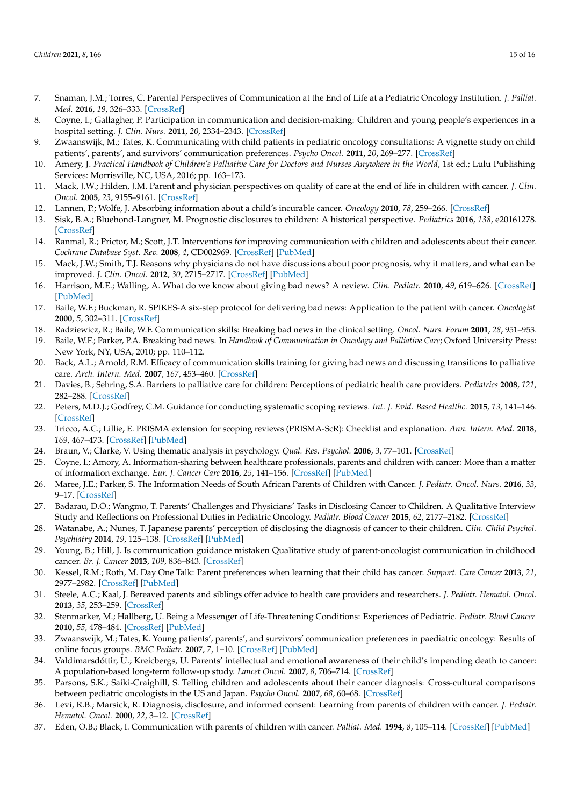- <span id="page-14-0"></span>7. Snaman, J.M.; Torres, C. Parental Perspectives of Communication at the End of Life at a Pediatric Oncology Institution. *J. Palliat. Med.* **2016**, *19*, 326–333. [\[CrossRef\]](http://doi.org/10.1089/jpm.2015.0253)
- <span id="page-14-1"></span>8. Coyne, I.; Gallagher, P. Participation in communication and decision-making: Children and young people's experiences in a hospital setting. *J. Clin. Nurs.* **2011**, *20*, 2334–2343. [\[CrossRef\]](http://doi.org/10.1111/j.1365-2702.2010.03582.x)
- <span id="page-14-2"></span>9. Zwaanswijk, M.; Tates, K. Communicating with child patients in pediatric oncology consultations: A vignette study on child patients', parents', and survivors' communication preferences. *Psycho Oncol.* **2011**, *20*, 269–277. [\[CrossRef\]](http://doi.org/10.1002/pon.1721)
- <span id="page-14-3"></span>10. Amery, J. *Practical Handbook of Children's Palliative Care for Doctors and Nurses Anywhere in the World*, 1st ed.; Lulu Publishing Services: Morrisville, NC, USA, 2016; pp. 163–173.
- <span id="page-14-4"></span>11. Mack, J.W.; Hilden, J.M. Parent and physician perspectives on quality of care at the end of life in children with cancer. *J. Clin. Oncol.* **2005**, *23*, 9155–9161. [\[CrossRef\]](http://doi.org/10.1200/JCO.2005.04.010)
- <span id="page-14-5"></span>12. Lannen, P.; Wolfe, J. Absorbing information about a child's incurable cancer. *Oncology* **2010**, *78*, 259–266. [\[CrossRef\]](http://doi.org/10.1159/000315732)
- <span id="page-14-6"></span>13. Sisk, B.A.; Bluebond-Langner, M. Prognostic disclosures to children: A historical perspective. *Pediatrics* **2016**, *138*, e20161278. [\[CrossRef\]](http://doi.org/10.1542/peds.2016-1278)
- <span id="page-14-7"></span>14. Ranmal, R.; Prictor, M.; Scott, J.T. Interventions for improving communication with children and adolescents about their cancer. *Cochrane Database Syst. Rev.* **2008**, *4*, CD002969. [\[CrossRef\]](http://doi.org/10.1002/14651858.CD002969.pub2) [\[PubMed\]](http://www.ncbi.nlm.nih.gov/pubmed/18843635)
- <span id="page-14-8"></span>15. Mack, J.W.; Smith, T.J. Reasons why physicians do not have discussions about poor prognosis, why it matters, and what can be improved. *J. Clin. Oncol.* **2012**, *30*, 2715–2717. [\[CrossRef\]](http://doi.org/10.1200/JCO.2012.42.4564) [\[PubMed\]](http://www.ncbi.nlm.nih.gov/pubmed/22753911)
- <span id="page-14-9"></span>16. Harrison, M.E.; Walling, A. What do we know about giving bad news? A review. *Clin. Pediatr.* **2010**, *49*, 619–626. [\[CrossRef\]](http://doi.org/10.1177/0009922810361380) [\[PubMed\]](http://www.ncbi.nlm.nih.gov/pubmed/20185480)
- <span id="page-14-10"></span>17. Baile, W.F.; Buckman, R. SPIKES-A six-step protocol for delivering bad news: Application to the patient with cancer. *Oncologist* **2000**, *5*, 302–311. [\[CrossRef\]](http://doi.org/10.1634/theoncologist.5-4-302)
- 18. Radziewicz, R.; Baile, W.F. Communication skills: Breaking bad news in the clinical setting. *Oncol. Nurs. Forum* **2001**, *28*, 951–953.
- 19. Baile, W.F.; Parker, P.A. Breaking bad news. In *Handbook of Communication in Oncology and Palliative Care*; Oxford University Press: New York, NY, USA, 2010; pp. 110–112.
- <span id="page-14-11"></span>20. Back, A.L.; Arnold, R.M. Efficacy of communication skills training for giving bad news and discussing transitions to palliative care. *Arch. Intern. Med.* **2007**, *167*, 453–460. [\[CrossRef\]](http://doi.org/10.1001/archinte.167.5.453)
- <span id="page-14-12"></span>21. Davies, B.; Sehring, S.A. Barriers to palliative care for children: Perceptions of pediatric health care providers. *Pediatrics* **2008**, *121*, 282–288. [\[CrossRef\]](http://doi.org/10.1542/peds.2006-3153)
- <span id="page-14-13"></span>22. Peters, M.D.J.; Godfrey, C.M. Guidance for conducting systematic scoping reviews. *Int. J. Evid. Based Healthc.* **2015**, *13*, 141–146. [\[CrossRef\]](http://doi.org/10.1097/XEB.0000000000000050)
- <span id="page-14-14"></span>23. Tricco, A.C.; Lillie, E. PRISMA extension for scoping reviews (PRISMA-ScR): Checklist and explanation. *Ann. Intern. Med.* **2018**, *169*, 467–473. [\[CrossRef\]](http://doi.org/10.7326/M18-0850) [\[PubMed\]](http://www.ncbi.nlm.nih.gov/pubmed/30178033)
- <span id="page-14-15"></span>24. Braun, V.; Clarke, V. Using thematic analysis in psychology. *Qual. Res. Psychol.* **2006**, *3*, 77–101. [\[CrossRef\]](http://doi.org/10.1191/1478088706qp063oa)
- <span id="page-14-16"></span>25. Coyne, I.; Amory, A. Information-sharing between healthcare professionals, parents and children with cancer: More than a matter of information exchange. *Eur. J. Cancer Care* **2016**, *25*, 141–156. [\[CrossRef\]](http://doi.org/10.1111/ecc.12411) [\[PubMed\]](http://www.ncbi.nlm.nih.gov/pubmed/26537295)
- <span id="page-14-17"></span>26. Maree, J.E.; Parker, S. The Information Needs of South African Parents of Children with Cancer. *J. Pediatr. Oncol. Nurs.* **2016**, *33*, 9–17. [\[CrossRef\]](http://doi.org/10.1177/1043454214563757)
- <span id="page-14-18"></span>27. Badarau, D.O.; Wangmo, T. Parents' Challenges and Physicians' Tasks in Disclosing Cancer to Children. A Qualitative Interview Study and Reflections on Professional Duties in Pediatric Oncology. *Pediatr. Blood Cancer* **2015**, *62*, 2177–2182. [\[CrossRef\]](http://doi.org/10.1002/pbc.25680)
- <span id="page-14-19"></span>28. Watanabe, A.; Nunes, T. Japanese parents' perception of disclosing the diagnosis of cancer to their children. *Clin. Child Psychol. Psychiatry* **2014**, *19*, 125–138. [\[CrossRef\]](http://doi.org/10.1177/1359104512470599) [\[PubMed\]](http://www.ncbi.nlm.nih.gov/pubmed/23297378)
- <span id="page-14-20"></span>29. Young, B.; Hill, J. Is communication guidance mistaken Qualitative study of parent-oncologist communication in childhood cancer. *Br. J. Cancer* **2013**, *109*, 836–843. [\[CrossRef\]](http://doi.org/10.1038/bjc.2013.413)
- <span id="page-14-21"></span>30. Kessel, R.M.; Roth, M. Day One Talk: Parent preferences when learning that their child has cancer. *Support. Care Cancer* **2013**, *21*, 2977–2982. [\[CrossRef\]](http://doi.org/10.1007/s00520-013-1874-8) [\[PubMed\]](http://www.ncbi.nlm.nih.gov/pubmed/23760458)
- <span id="page-14-22"></span>31. Steele, A.C.; Kaal, J. Bereaved parents and siblings offer advice to health care providers and researchers. *J. Pediatr. Hematol. Oncol.* **2013**, *35*, 253–259. [\[CrossRef\]](http://doi.org/10.1097/MPH.0b013e31828afe05)
- <span id="page-14-23"></span>32. Stenmarker, M.; Hallberg, U. Being a Messenger of Life-Threatening Conditions: Experiences of Pediatric. *Pediatr. Blood Cancer* **2010**, *55*, 478–484. [\[CrossRef\]](http://doi.org/10.1002/pbc.22558) [\[PubMed\]](http://www.ncbi.nlm.nih.gov/pubmed/20658619)
- <span id="page-14-24"></span>33. Zwaanswijk, M.; Tates, K. Young patients', parents', and survivors' communication preferences in paediatric oncology: Results of online focus groups. *BMC Pediatr.* **2007**, *7*, 1–10. [\[CrossRef\]](http://doi.org/10.1186/1471-2431-7-35) [\[PubMed\]](http://www.ncbi.nlm.nih.gov/pubmed/17996108)
- <span id="page-14-25"></span>34. Valdimarsdóttir, U.; Kreicbergs, U. Parents' intellectual and emotional awareness of their child's impending death to cancer: A population-based long-term follow-up study. *Lancet Oncol.* **2007**, *8*, 706–714. [\[CrossRef\]](http://doi.org/10.1016/S1470-2045(07)70209-7)
- <span id="page-14-26"></span>35. Parsons, S.K.; Saiki-Craighill, S. Telling children and adolescents about their cancer diagnosis: Cross-cultural comparisons between pediatric oncologists in the US and Japan. *Psycho Oncol.* **2007**, *68*, 60–68. [\[CrossRef\]](http://doi.org/10.1002/pon.1048)
- <span id="page-14-27"></span>36. Levi, R.B.; Marsick, R. Diagnosis, disclosure, and informed consent: Learning from parents of children with cancer. *J. Pediatr. Hematol. Oncol.* **2000**, *22*, 3–12. [\[CrossRef\]](http://doi.org/10.1097/00043426-200001000-00002)
- <span id="page-14-28"></span>37. Eden, O.B.; Black, I. Communication with parents of children with cancer. *Palliat. Med.* **1994**, *8*, 105–114. [\[CrossRef\]](http://doi.org/10.1177/026921639400800203) [\[PubMed\]](http://www.ncbi.nlm.nih.gov/pubmed/8081551)